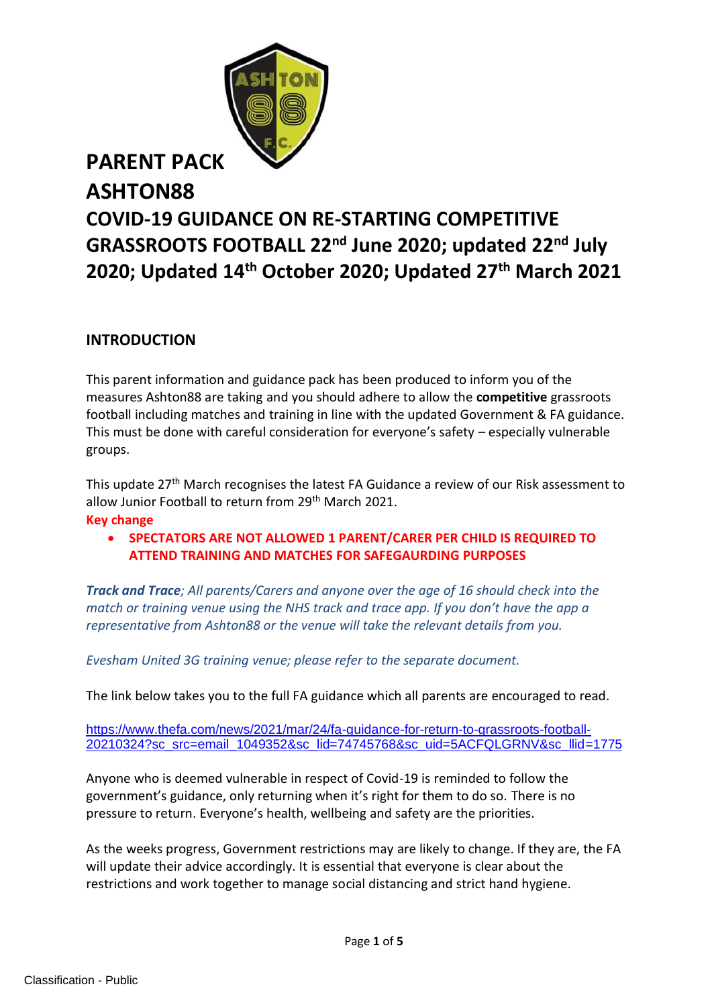

# **ASHTON88 COVID-19 GUIDANCE ON RE-STARTING COMPETITIVE GRASSROOTS FOOTBALL 22nd June 2020; updated 22nd July 2020; Updated 14th October 2020; Updated 27th March 2021**

#### **INTRODUCTION**

This parent information and guidance pack has been produced to inform you of the measures Ashton88 are taking and you should adhere to allow the **competitive** grassroots football including matches and training in line with the updated Government & FA guidance. This must be done with careful consideration for everyone's safety – especially vulnerable groups.

This update 27th March recognises the latest FA Guidance a review of our Risk assessment to allow Junior Football to return from 29<sup>th</sup> March 2021.

#### **Key change**

• **SPECTATORS ARE NOT ALLOWED 1 PARENT/CARER PER CHILD IS REQUIRED TO ATTEND TRAINING AND MATCHES FOR SAFEGAURDING PURPOSES**

*Track and Trace; All parents/Carers and anyone over the age of 16 should check into the match or training venue using the NHS track and trace app. If you don't have the app a representative from Ashton88 or the venue will take the relevant details from you.*

*Evesham United 3G training venue; please refer to the separate document.*

The link below takes you to the full FA guidance which all parents are encouraged to read.

[https://www.thefa.com/news/2021/mar/24/fa-guidance-for-return-to-grassroots-football-](https://www.thefa.com/news/2021/mar/24/fa-guidance-for-return-to-grassroots-football-20210324?sc_src=email_1049352&sc_lid=74745768&sc_uid=5ACFQLGRNV&sc_llid=1775)[20210324?sc\\_src=email\\_1049352&sc\\_lid=74745768&sc\\_uid=5ACFQLGRNV&sc\\_llid=1775](https://www.thefa.com/news/2021/mar/24/fa-guidance-for-return-to-grassroots-football-20210324?sc_src=email_1049352&sc_lid=74745768&sc_uid=5ACFQLGRNV&sc_llid=1775)

Anyone who is deemed vulnerable in respect of Covid-19 is reminded to follow the government's guidance, only returning when it's right for them to do so. There is no pressure to return. Everyone's health, wellbeing and safety are the priorities.

As the weeks progress, Government restrictions may are likely to change. If they are, the FA will update their advice accordingly. It is essential that everyone is clear about the restrictions and work together to manage social distancing and strict hand hygiene.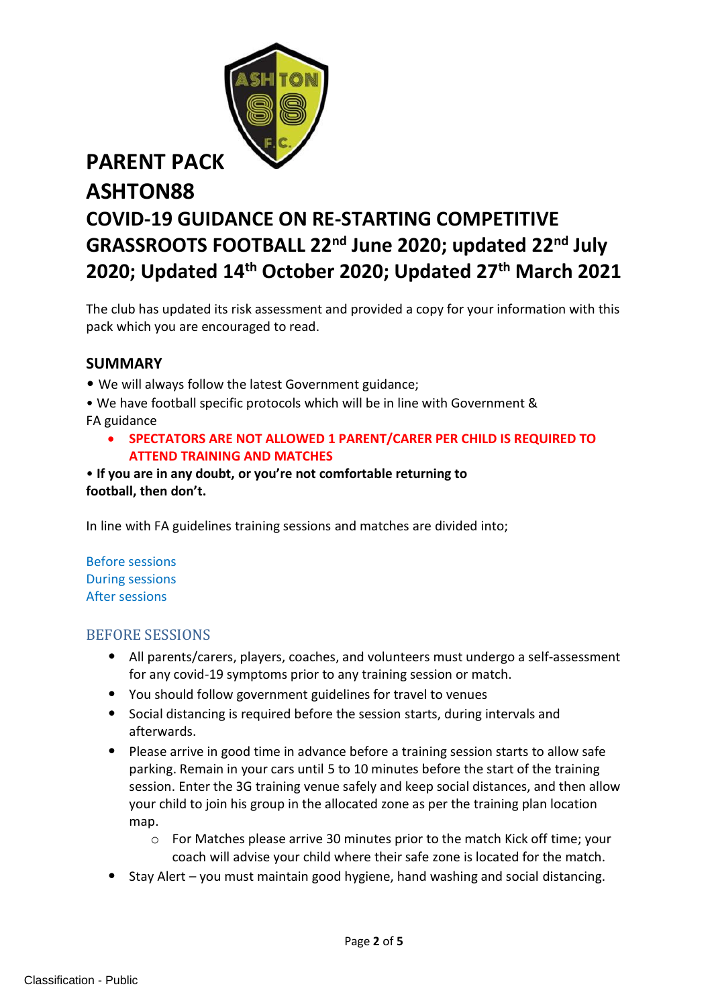

# **ASHTON88 COVID-19 GUIDANCE ON RE-STARTING COMPETITIVE GRASSROOTS FOOTBALL 22nd June 2020; updated 22nd July 2020; Updated 14th October 2020; Updated 27th March 2021**

The club has updated its risk assessment and provided a copy for your information with this pack which you are encouraged to read.

#### **SUMMARY**

- We will always follow the latest Government guidance;
- We have football specific protocols which will be in line with Government & FA guidance
	- **SPECTATORS ARE NOT ALLOWED 1 PARENT/CARER PER CHILD IS REQUIRED TO ATTEND TRAINING AND MATCHES**
- **If you are in any doubt, or you're not comfortable returning to football, then don't.**

In line with FA guidelines training sessions and matches are divided into;

Before sessions During sessions After sessions

#### BEFORE SESSIONS

- All parents/carers, players, coaches, and volunteers must undergo a self-assessment for any covid-19 symptoms prior to any training session or match.
- You should follow government guidelines for travel to venues
- Social distancing is required before the session starts, during intervals and afterwards.
- Please arrive in good time in advance before a training session starts to allow safe parking. Remain in your cars until 5 to 10 minutes before the start of the training session. Enter the 3G training venue safely and keep social distances, and then allow your child to join his group in the allocated zone as per the training plan location map.
	- o For Matches please arrive 30 minutes prior to the match Kick off time; your coach will advise your child where their safe zone is located for the match.
- Stay Alert you must maintain good hygiene, hand washing and social distancing.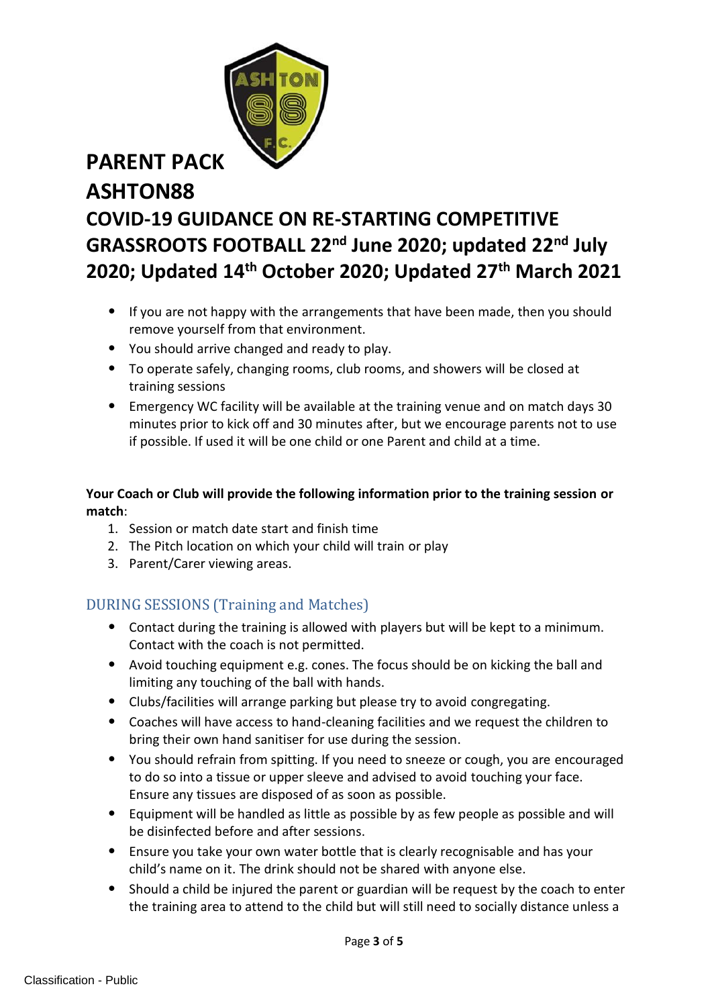# **ASHTON88 COVID-19 GUIDANCE ON RE-STARTING COMPETITIVE GRASSROOTS FOOTBALL 22nd June 2020; updated 22nd July 2020; Updated 14th October 2020; Updated 27th March 2021**

- If you are not happy with the arrangements that have been made, then you should remove yourself from that environment.
- You should arrive changed and ready to play.
- To operate safely, changing rooms, club rooms, and showers will be closed at training sessions
- Emergency WC facility will be available at the training venue and on match days 30 minutes prior to kick off and 30 minutes after, but we encourage parents not to use if possible. If used it will be one child or one Parent and child at a time.

#### **Your Coach or Club will provide the following information prior to the training session or match**:

- 1. Session or match date start and finish time
- 2. The Pitch location on which your child will train or play
- 3. Parent/Carer viewing areas.

#### DURING SESSIONS (Training and Matches)

- Contact during the training is allowed with players but will be kept to a minimum. Contact with the coach is not permitted.
- Avoid touching equipment e.g. cones. The focus should be on kicking the ball and limiting any touching of the ball with hands.
- Clubs/facilities will arrange parking but please try to avoid congregating.
- Coaches will have access to hand-cleaning facilities and we request the children to bring their own hand sanitiser for use during the session.
- You should refrain from spitting. If you need to sneeze or cough, you are encouraged to do so into a tissue or upper sleeve and advised to avoid touching your face. Ensure any tissues are disposed of as soon as possible.
- Equipment will be handled as little as possible by as few people as possible and will be disinfected before and after sessions.
- Ensure you take your own water bottle that is clearly recognisable and has your child's name on it. The drink should not be shared with anyone else.
- Should a child be injured the parent or guardian will be request by the coach to enter the training area to attend to the child but will still need to socially distance unless a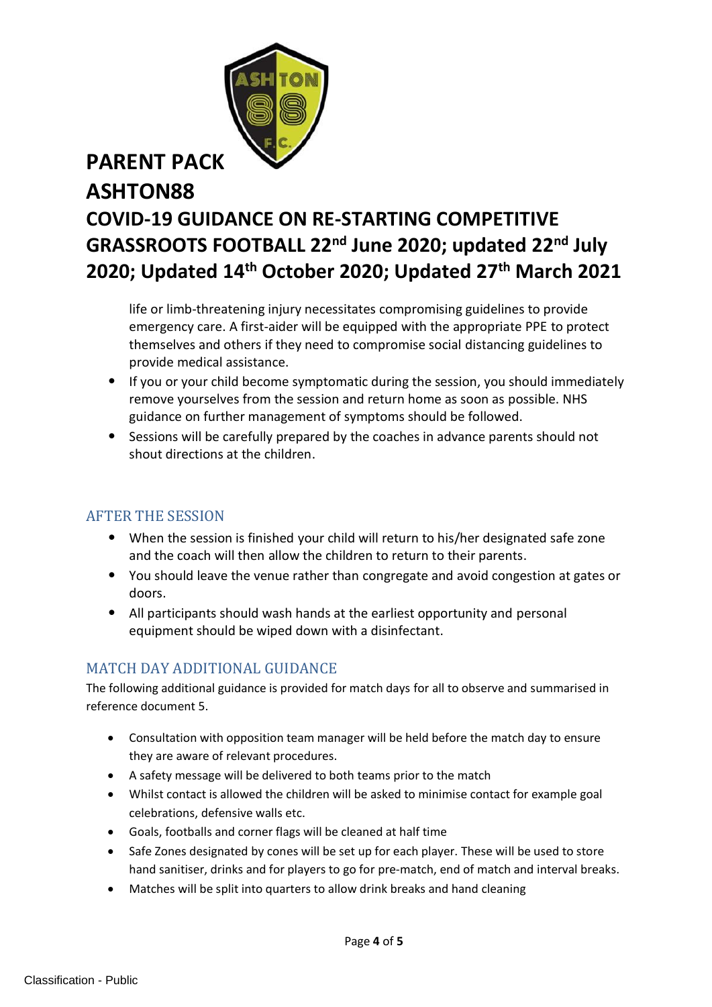# **ASHTON88 COVID-19 GUIDANCE ON RE-STARTING COMPETITIVE GRASSROOTS FOOTBALL 22nd June 2020; updated 22nd July 2020; Updated 14th October 2020; Updated 27th March 2021**

life or limb-threatening injury necessitates compromising guidelines to provide emergency care. A first-aider will be equipped with the appropriate PPE to protect themselves and others if they need to compromise social distancing guidelines to provide medical assistance.

- If you or your child become symptomatic during the session, you should immediately remove yourselves from the session and return home as soon as possible. NHS guidance on further management of symptoms should be followed.
- Sessions will be carefully prepared by the coaches in advance parents should not shout directions at the children.

### AFTER THE SESSION

- When the session is finished your child will return to his/her designated safe zone and the coach will then allow the children to return to their parents.
- You should leave the venue rather than congregate and avoid congestion at gates or doors.
- All participants should wash hands at the earliest opportunity and personal equipment should be wiped down with a disinfectant.

### MATCH DAY ADDITIONAL GUIDANCE

The following additional guidance is provided for match days for all to observe and summarised in reference document 5.

- Consultation with opposition team manager will be held before the match day to ensure they are aware of relevant procedures.
- A safety message will be delivered to both teams prior to the match
- Whilst contact is allowed the children will be asked to minimise contact for example goal celebrations, defensive walls etc.
- Goals, footballs and corner flags will be cleaned at half time
- Safe Zones designated by cones will be set up for each player. These will be used to store hand sanitiser, drinks and for players to go for pre-match, end of match and interval breaks.
- Matches will be split into quarters to allow drink breaks and hand cleaning